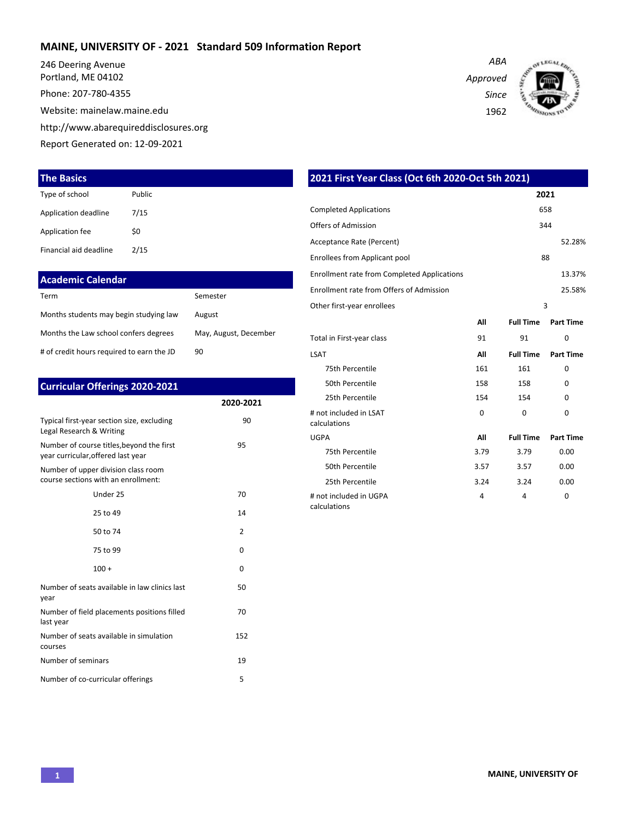### **MAINE, UNIVERSITY OF - 2021 Standard 509 Information Report**

246 Deering Avenue Portland, ME 04102

Phone: 207-780-4355

Website: mainelaw.maine.edu

http://www.abarequireddisclosures.org

Report Generated on: 12-09-2021

### **The Basics**

| Type of school         | Public |
|------------------------|--------|
| Application deadline   | 7/15   |
| Application fee        | \$0    |
| Financial aid deadline | 2/15   |

| <b>Academic Calendar</b>                  |                       |
|-------------------------------------------|-----------------------|
| Term                                      | Semester              |
| Months students may begin studying law    | August                |
| Months the Law school confers degrees     | May, August, December |
| # of credit hours required to earn the JD | 90                    |

| <b>Curricular Offerings 2020-2021</b>                                           |           |
|---------------------------------------------------------------------------------|-----------|
|                                                                                 | 2020-2021 |
| Typical first-year section size, excluding<br>Legal Research & Writing          | 90        |
| Number of course titles, beyond the first<br>year curricular, offered last year | 95        |
| Number of upper division class room<br>course sections with an enrollment:      |           |
| Under 25                                                                        | 70        |
| 25 to 49                                                                        | 14        |
| 50 to 74                                                                        | 2         |
| 75 to 99                                                                        | $\Omega$  |
| $100 +$                                                                         | 0         |
| Number of seats available in law clinics last<br>year                           | 50        |
| Number of field placements positions filled<br>last year                        | 70        |
| Number of seats available in simulation<br>courses                              | 152       |
| Number of seminars                                                              | 19        |
| Number of co-curricular offerings                                               | 5         |

*ABA Approved Since* 1962



| 2021 First Year Class (Oct 6th 2020-Oct 5th 2021)  |      |                  |                  |
|----------------------------------------------------|------|------------------|------------------|
|                                                    |      |                  | 2021             |
| <b>Completed Applications</b>                      |      |                  | 658              |
| Offers of Admission                                |      |                  | 344              |
| Acceptance Rate (Percent)                          |      |                  | 52.28%           |
| Enrollees from Applicant pool                      |      |                  | 88               |
| <b>Enrollment rate from Completed Applications</b> |      |                  | 13.37%           |
| Enrollment rate from Offers of Admission           |      |                  | 25.58%           |
| Other first-year enrollees                         |      |                  | 3                |
|                                                    | All  | <b>Full Time</b> | <b>Part Time</b> |
| Total in First-year class                          | 91   | 91               | 0                |
| <b>LSAT</b>                                        | All  | <b>Full Time</b> | <b>Part Time</b> |
| 75th Percentile                                    | 161  | 161              | 0                |
| 50th Percentile                                    | 158  | 158              | 0                |
| 25th Percentile                                    | 154  | 154              | 0                |
| # not included in LSAT<br>calculations             | 0    | $\Omega$         | 0                |
| <b>UGPA</b>                                        | All  | <b>Full Time</b> | <b>Part Time</b> |
| 75th Percentile                                    | 3.79 | 3.79             | 0.00             |
| 50th Percentile                                    | 3.57 | 3.57             | 0.00             |
| 25th Percentile                                    | 3.24 | 3.24             | 0.00             |
| # not included in UGPA<br>calculations             | 4    | 4                | 0                |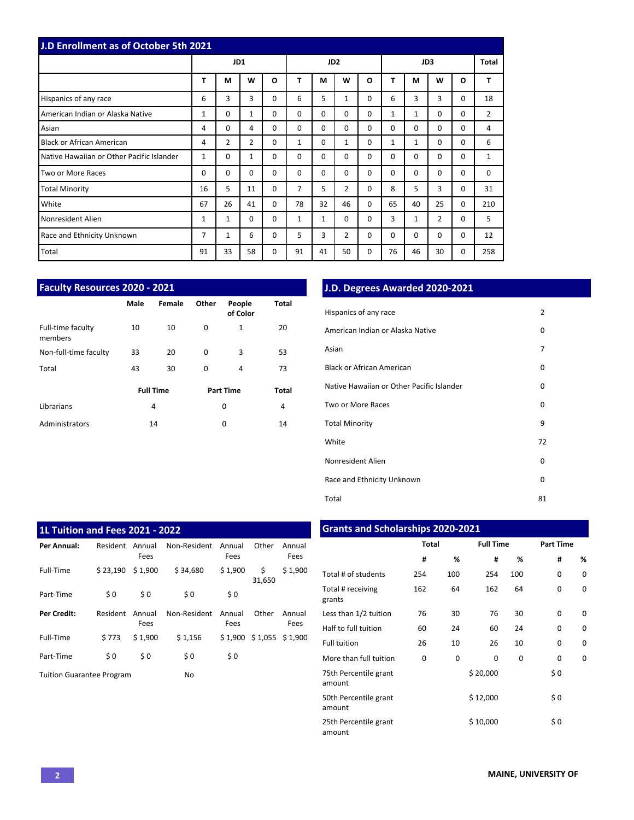| J.D Enrollment as of October 5th 2021     |    |                |                |          |          |                 |                |          |              |              |             |          |                |
|-------------------------------------------|----|----------------|----------------|----------|----------|-----------------|----------------|----------|--------------|--------------|-------------|----------|----------------|
|                                           |    | JD1            |                |          |          | JD <sub>2</sub> |                |          | JD3          |              |             |          | Total          |
|                                           | T  | M              | W              | $\Omega$ | T        | M               | W              | O        | т            | М            | W           | O        | T              |
| Hispanics of any race                     | 6  | 3              | 3              | $\Omega$ | 6        | 5               | $\mathbf{1}$   | 0        | 6            | 3            | 3           | $\Omega$ | 18             |
| American Indian or Alaska Native          | 1  | $\Omega$       | $\mathbf{1}$   | $\Omega$ | $\Omega$ | $\Omega$        | $\Omega$       | 0        | $\mathbf{1}$ | $\mathbf{1}$ | $\Omega$    | $\Omega$ | $\overline{2}$ |
| Asian                                     | 4  | 0              | 4              | $\Omega$ | $\Omega$ | $\Omega$        | $\Omega$       | $\Omega$ | $\Omega$     | 0            | $\mathbf 0$ | 0        | 4              |
| <b>Black or African American</b>          | 4  | $\overline{2}$ | $\overline{2}$ | $\Omega$ | 1        | $\Omega$        | $\mathbf{1}$   | 0        | $\mathbf{1}$ | 1            | $\Omega$    | 0        | 6              |
| Native Hawaiian or Other Pacific Islander | 1  | 0              | $\mathbf{1}$   | $\Omega$ | $\Omega$ | $\Omega$        | $\Omega$       | 0        | $\Omega$     | $\Omega$     | $\mathbf 0$ | 0        | 1              |
| Two or More Races                         | 0  | 0              | 0              | $\Omega$ | $\Omega$ | $\Omega$        | $\Omega$       | 0        | $\Omega$     | $\Omega$     | $\Omega$    | 0        | 0              |
| <b>Total Minority</b>                     | 16 | 5              | 11             | $\Omega$ | 7        | 5               | $\overline{2}$ | 0        | 8            | 5            | 3           | 0        | 31             |
| White                                     | 67 | 26             | 41             | $\Omega$ | 78       | 32              | 46             | 0        | 65           | 40           | 25          | $\Omega$ | 210            |
| Nonresident Alien                         | 1  | 1              | $\Omega$       | $\Omega$ | 1        | $\mathbf{1}$    | $\Omega$       | 0        | 3            | 1            | 2           | 0        | 5              |
| Race and Ethnicity Unknown                | 7  | 1              | 6              | 0        | 5        | 3               | $\overline{2}$ | 0        | $\Omega$     | 0            | $\mathbf 0$ | 0        | 12             |
| Total                                     | 91 | 33             | 58             | 0        | 91       | 41              | 50             | 0        | 76           | 46           | 30          | 0        | 258            |

|                              | <b>Faculty Resources 2020 - 2021</b> |                  |          |                    |       |  |  |  |  |  |  |  |  |
|------------------------------|--------------------------------------|------------------|----------|--------------------|-------|--|--|--|--|--|--|--|--|
|                              | Male                                 | Female           | Other    | People<br>of Color | Total |  |  |  |  |  |  |  |  |
| Full-time faculty<br>members | 10                                   | 10               | 0        | 1                  | 20    |  |  |  |  |  |  |  |  |
| Non-full-time faculty        | 33                                   | 20               | $\Omega$ | 3                  | 53    |  |  |  |  |  |  |  |  |
| Total                        | 43                                   | 30               | 0        | 4                  | 73    |  |  |  |  |  |  |  |  |
|                              |                                      | <b>Full Time</b> |          | <b>Part Time</b>   | Total |  |  |  |  |  |  |  |  |
| Librarians                   |                                      | 4                |          | 0                  | 4     |  |  |  |  |  |  |  |  |
| Administrators               |                                      | 14               |          | 0                  | 14    |  |  |  |  |  |  |  |  |

# **J.D. Degrees Awarded 2020-2021**

| Hispanics of any race                     | $\overline{2}$ |
|-------------------------------------------|----------------|
| American Indian or Alaska Native          | 0              |
| Asian                                     | 7              |
| Black or African American                 | 0              |
| Native Hawaiian or Other Pacific Islander | 0              |
| Two or More Races                         | 0              |
| <b>Total Minority</b>                     | 9              |
| White                                     | 72             |
| Nonresident Alien                         | 0              |
| Race and Ethnicity Unknown                | 0              |
| Total                                     | 81             |

| 1L Tuition and Fees 2021 - 2022  |          |                |              |                |                            |                |
|----------------------------------|----------|----------------|--------------|----------------|----------------------------|----------------|
| Per Annual:                      | Resident | Annual<br>Fees | Non-Resident | Annual<br>Fees | Other                      | Annual<br>Fees |
| Full-Time                        | \$23,190 | \$1,900        | \$34,680     | \$1,900        | \$<br>31,650               | \$1,900        |
| Part-Time                        | \$0      | \$0            | \$0          | \$0            |                            |                |
| Per Credit:                      | Resident | Annual<br>Fees | Non-Resident | Annual<br>Fees | Other                      | Annual<br>Fees |
| Full-Time                        | \$773    | \$1,900        | \$1,156      |                | $$1,900$ $$1,055$ $$1,900$ |                |
| Part-Time                        | \$0      | \$0            | \$0          | \$0            |                            |                |
| <b>Tuition Guarantee Program</b> |          |                | No           |                |                            |                |

# **Grants and Scholarships 2020-2021**

|                                 | <b>Total</b> |     | <b>Full Time</b> |     | <b>Part Time</b> |   |  |  |
|---------------------------------|--------------|-----|------------------|-----|------------------|---|--|--|
|                                 | #            | %   | #                | %   | #                | % |  |  |
| Total # of students             | 254          | 100 | 254              | 100 | 0                | 0 |  |  |
| Total # receiving<br>grants     | 162          | 64  | 162              | 64  | 0                | 0 |  |  |
| Less than 1/2 tuition           | 76           | 30  | 76               | 30  | 0                | 0 |  |  |
| Half to full tuition            | 60           | 24  | 60               | 24  | $\Omega$         | 0 |  |  |
| <b>Full tuition</b>             | 26           | 10  | 26               | 10  | 0                | 0 |  |  |
| More than full tuition          | 0            | 0   | 0                | 0   | 0                | 0 |  |  |
| 75th Percentile grant<br>amount |              |     | \$20,000         |     | \$0              |   |  |  |
| 50th Percentile grant<br>amount |              |     | \$12,000         |     | \$0              |   |  |  |
| 25th Percentile grant<br>amount |              |     | \$10,000         |     | \$0              |   |  |  |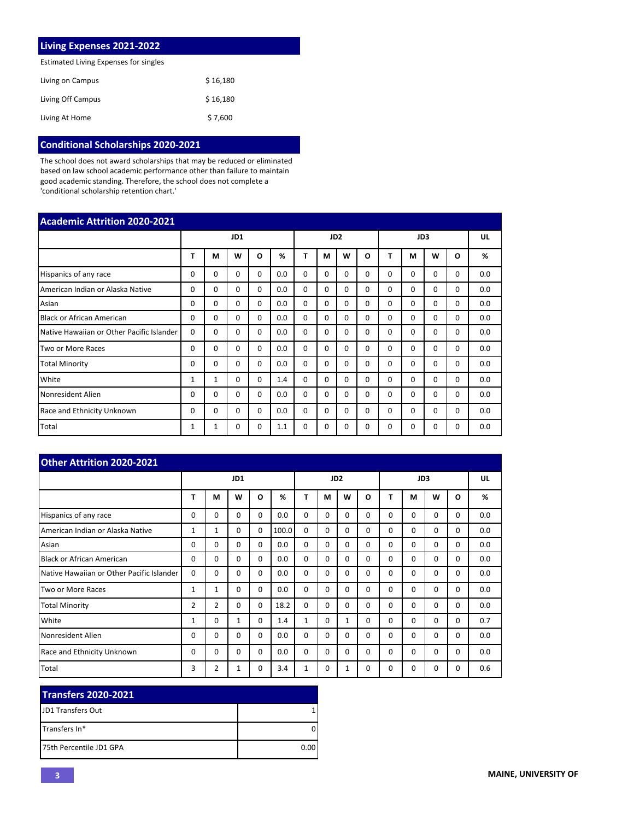| Living Expenses 2021-2022             |          |
|---------------------------------------|----------|
| Estimated Living Expenses for singles |          |
| Living on Campus                      | \$16,180 |
| Living Off Campus                     | \$16,180 |
| Living At Home                        | \$7,600  |

# **Conditional Scholarships 2020-2021**

The school does not award scholarships that may be reduced or eliminated based on law school academic performance other than failure to maintain good academic standing. Therefore, the school does not complete a 'conditional scholarship retention chart.'

| <b>Academic Attrition 2020-2021</b>       |          |              |          |          |     |          |                 |          |          |          |          |          |          |     |
|-------------------------------------------|----------|--------------|----------|----------|-----|----------|-----------------|----------|----------|----------|----------|----------|----------|-----|
|                                           |          | JD1          |          |          |     |          | JD <sub>2</sub> |          |          | JD3      |          |          |          | UL  |
|                                           | т        | М            | w        | O        | %   | Т        | М               | W        | O        | т        | M        | W        | $\Omega$ | %   |
| Hispanics of any race                     | 0        | 0            | $\Omega$ | $\Omega$ | 0.0 | $\Omega$ | 0               | $\Omega$ | $\Omega$ | $\Omega$ | $\Omega$ | 0        | 0        | 0.0 |
| American Indian or Alaska Native          | $\Omega$ | $\Omega$     | $\Omega$ | $\Omega$ | 0.0 | $\Omega$ | $\Omega$        | $\Omega$ | $\Omega$ | $\Omega$ | $\Omega$ | 0        | $\Omega$ | 0.0 |
| Asian                                     | 0        | $\Omega$     | $\Omega$ | $\Omega$ | 0.0 | $\Omega$ | $\Omega$        | $\Omega$ | 0        | $\Omega$ | $\Omega$ | $\Omega$ | $\Omega$ | 0.0 |
| <b>Black or African American</b>          | 0        | $\Omega$     | $\Omega$ | $\Omega$ | 0.0 | $\Omega$ | $\Omega$        | $\Omega$ | 0        | $\Omega$ | $\Omega$ | $\Omega$ | $\Omega$ | 0.0 |
| Native Hawaiian or Other Pacific Islander | $\Omega$ | $\Omega$     | $\Omega$ | $\Omega$ | 0.0 | $\Omega$ | $\Omega$        | $\Omega$ | 0        | $\Omega$ | 0        | 0        | 0        | 0.0 |
| Two or More Races                         | 0        | $\Omega$     | $\Omega$ | $\Omega$ | 0.0 | $\Omega$ | $\Omega$        | $\Omega$ | 0        | $\Omega$ | $\Omega$ | $\Omega$ | $\Omega$ | 0.0 |
| <b>Total Minority</b>                     | 0        | $\Omega$     | $\Omega$ | $\Omega$ | 0.0 | $\Omega$ | $\Omega$        | $\Omega$ | $\Omega$ | $\Omega$ | $\Omega$ | $\Omega$ | $\Omega$ | 0.0 |
| White                                     | 1        | $\mathbf{1}$ | $\Omega$ | $\Omega$ | 1.4 | $\Omega$ | $\Omega$        | $\Omega$ | $\Omega$ | $\Omega$ | $\Omega$ | $\Omega$ | $\Omega$ | 0.0 |
| Nonresident Alien                         | 0        | $\Omega$     | $\Omega$ | $\Omega$ | 0.0 | $\Omega$ | $\Omega$        | $\Omega$ | $\Omega$ | $\Omega$ | $\Omega$ | 0        | $\Omega$ | 0.0 |
| Race and Ethnicity Unknown                | 0        | $\Omega$     | $\Omega$ | $\Omega$ | 0.0 | $\Omega$ | $\Omega$        | $\Omega$ | $\Omega$ | $\Omega$ | $\Omega$ | 0        | $\Omega$ | 0.0 |
| Total                                     | 1        | 1            | $\Omega$ | $\Omega$ | 1.1 | $\Omega$ | 0               | $\Omega$ | $\Omega$ | $\Omega$ | $\Omega$ | $\Omega$ | $\Omega$ | 0.0 |

| Other Attrition 2020-2021                 |                |                |          |          |                 |              |          |              |          |          |          |          |          |     |
|-------------------------------------------|----------------|----------------|----------|----------|-----------------|--------------|----------|--------------|----------|----------|----------|----------|----------|-----|
|                                           | JD1            |                |          |          | JD <sub>2</sub> |              |          |              | JD3      |          |          |          | UL       |     |
|                                           | т              | M              | W        | $\Omega$ | %               | Т            | М        | W            | O        | т        | М        | W        | O        | %   |
| Hispanics of any race                     | 0              | $\Omega$       | $\Omega$ | $\Omega$ | 0.0             | $\Omega$     | $\Omega$ | $\Omega$     | $\Omega$ | 0        | $\Omega$ | $\Omega$ | $\Omega$ | 0.0 |
| American Indian or Alaska Native          | 1              | 1              | 0        | 0        | 100.0           | 0            | $\Omega$ | $\Omega$     | $\Omega$ | $\Omega$ | $\Omega$ | 0        | 0        | 0.0 |
| Asian                                     | $\Omega$       | $\Omega$       | $\Omega$ | $\Omega$ | 0.0             | $\Omega$     | $\Omega$ | $\Omega$     | $\Omega$ | $\Omega$ | $\Omega$ | $\Omega$ | $\Omega$ | 0.0 |
| <b>Black or African American</b>          | $\Omega$       | $\Omega$       | $\Omega$ | $\Omega$ | 0.0             | $\Omega$     | $\Omega$ | $\Omega$     | $\Omega$ | $\Omega$ | $\Omega$ | $\Omega$ | $\Omega$ | 0.0 |
| Native Hawaiian or Other Pacific Islander | $\Omega$       | $\Omega$       | 0        | $\Omega$ | 0.0             | $\Omega$     | $\Omega$ | $\Omega$     | $\Omega$ | $\Omega$ | $\Omega$ | $\Omega$ | $\Omega$ | 0.0 |
| Two or More Races                         | 1              | $\mathbf{1}$   | $\Omega$ | $\Omega$ | 0.0             | $\Omega$     | $\Omega$ | $\Omega$     | $\Omega$ | $\Omega$ | $\Omega$ | $\Omega$ | $\Omega$ | 0.0 |
| <b>Total Minority</b>                     | $\overline{2}$ | $\overline{2}$ | $\Omega$ | $\Omega$ | 18.2            | $\Omega$     | $\Omega$ | $\Omega$     | $\Omega$ | $\Omega$ | $\Omega$ | 0        | $\Omega$ | 0.0 |
| White                                     | 1              | $\Omega$       | 1        | $\Omega$ | 1.4             | $\mathbf{1}$ | $\Omega$ | $\mathbf{1}$ | $\Omega$ | $\Omega$ | $\Omega$ | $\Omega$ | $\Omega$ | 0.7 |
| Nonresident Alien                         | 0              | $\Omega$       | $\Omega$ | $\Omega$ | 0.0             | $\Omega$     | $\Omega$ | $\Omega$     | $\Omega$ | $\Omega$ | $\Omega$ | $\Omega$ | 0        | 0.0 |
| Race and Ethnicity Unknown                | 0              | $\Omega$       | $\Omega$ | $\Omega$ | 0.0             | $\Omega$     | $\Omega$ | $\Omega$     | $\Omega$ | $\Omega$ | $\Omega$ | $\Omega$ | $\Omega$ | 0.0 |
| Total                                     | 3              | $\overline{2}$ | 1        | 0        | 3.4             | 1            | 0        | 1            | 0        | 0        | 0        | 0        | 0        | 0.6 |

| <b>Transfers 2020-2021</b> |      |
|----------------------------|------|
| <b>IJD1 Transfers Out</b>  |      |
| <b>ITransfers In*</b>      |      |
| 175th Percentile JD1 GPA   | 0.00 |